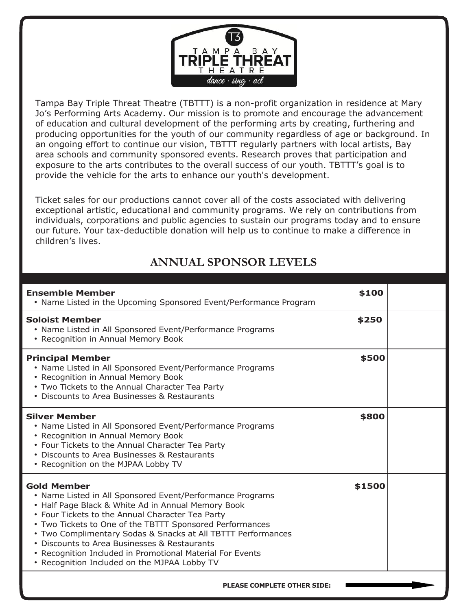

Tampa Bay Triple Threat Theatre (TBTTT) is a non-profit organization in residence at Mary Jo's Performing Arts Academy. Our mission is to promote and encourage the advancement of education and cultural development of the performing arts by creating, furthering and producing opportunities for the youth of our community regardless of age or background. In an ongoing effort to continue our vision, TBTTT regularly partners with local artists, Bay area schools and community sponsored events. Research proves that participation and exposure to the arts contributes to the overall success of our youth. TBTTT's goal is to provide the vehicle for the arts to enhance our youth's development.

Ticket sales for our productions cannot cover all of the costs associated with delivering exceptional artistic, educational and community programs. We rely on contributions from individuals, corporations and public agencies to sustain our programs today and to ensure our future. Your tax-deductible donation will help us to continue to make a difference in children's lives.

## **ANNUAL SPONSOR LEVELS**

| <b>Ensemble Member</b><br>• Name Listed in the Upcoming Sponsored Event/Performance Program                                                                                                                                                                                                                                                                                                                                                                                        | \$100  |  |
|------------------------------------------------------------------------------------------------------------------------------------------------------------------------------------------------------------------------------------------------------------------------------------------------------------------------------------------------------------------------------------------------------------------------------------------------------------------------------------|--------|--|
| <b>Soloist Member</b><br>• Name Listed in All Sponsored Event/Performance Programs<br>• Recognition in Annual Memory Book                                                                                                                                                                                                                                                                                                                                                          | \$250  |  |
| <b>Principal Member</b><br>• Name Listed in All Sponsored Event/Performance Programs<br>• Recognition in Annual Memory Book<br>• Two Tickets to the Annual Character Tea Party<br>• Discounts to Area Businesses & Restaurants                                                                                                                                                                                                                                                     | \$500  |  |
| <b>Silver Member</b><br>• Name Listed in All Sponsored Event/Performance Programs<br>• Recognition in Annual Memory Book<br>• Four Tickets to the Annual Character Tea Party<br>• Discounts to Area Businesses & Restaurants<br>• Recognition on the MJPAA Lobby TV                                                                                                                                                                                                                | \$800  |  |
| <b>Gold Member</b><br>• Name Listed in All Sponsored Event/Performance Programs<br>• Half Page Black & White Ad in Annual Memory Book<br>• Four Tickets to the Annual Character Tea Party<br>• Two Tickets to One of the TBTTT Sponsored Performances<br>• Two Complimentary Sodas & Snacks at All TBTTT Performances<br>• Discounts to Area Businesses & Restaurants<br>• Recognition Included in Promotional Material For Events<br>• Recognition Included on the MJPAA Lobby TV | \$1500 |  |

 **PLEASE COMPLETE OTHER SIDE:**